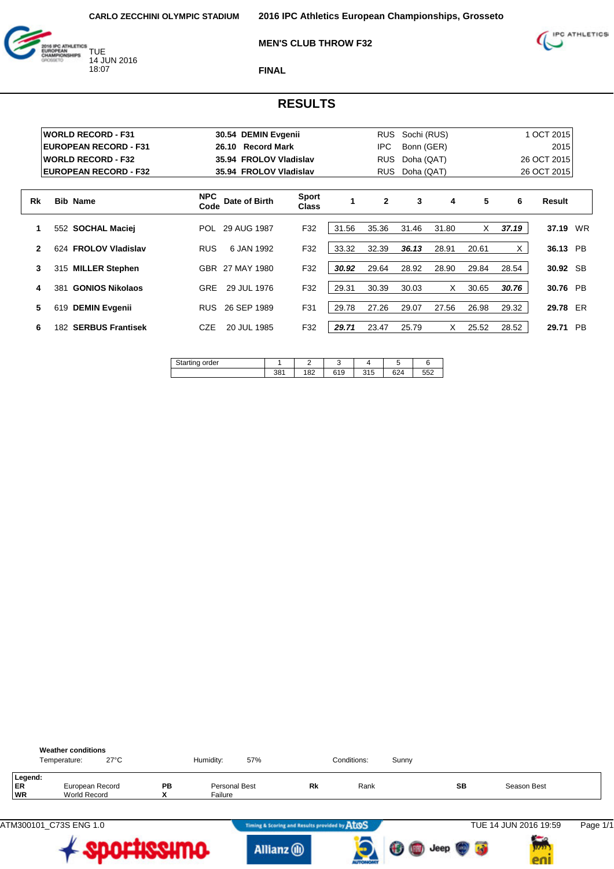

**MEN'S CLUB THROW F32**



**FINAL**

|    |     | <b>WORLD RECORD - F31</b>    |                    | 30.54 DEMIN Evgenii         |                              |       | <b>RUS</b>   | Sochi (RUS) |       |       |       | 1 OCT 2015  |           |
|----|-----|------------------------------|--------------------|-----------------------------|------------------------------|-------|--------------|-------------|-------|-------|-------|-------------|-----------|
|    |     | <b>EUROPEAN RECORD - F31</b> |                    | <b>Record Mark</b><br>26.10 |                              |       | <b>IPC</b>   | Bonn (GER)  |       |       |       | 2015        |           |
|    |     | <b>WORLD RECORD - F32</b>    |                    | 35.94 FROLOV Vladislav      |                              |       | <b>RUS</b>   | Doha (QAT)  |       |       |       | 26 OCT 2015 |           |
|    |     | <b>EUROPEAN RECORD - F32</b> |                    | 35.94 FROLOV Vladislav      |                              |       | <b>RUS</b>   | Doha (QAT)  |       |       |       | 26 OCT 2015 |           |
| Rk |     | <b>Bib Name</b>              | <b>NPC</b><br>Code | Date of Birth               | <b>Sport</b><br><b>Class</b> | 1     | $\mathbf{2}$ | 3           | 4     | 5     | 6     | Result      |           |
| 1  |     | 552 SOCHAL Maciei            | POL                | 29 AUG 1987                 | F32                          | 31.56 | 35.36        | 31.46       | 31.80 | X     | 37.19 | 37.19       | WR        |
| 2  |     | 624 FROLOV Vladislav         | <b>RUS</b>         | 6 JAN 1992                  | F32                          | 33.32 | 32.39        | 36.13       | 28.91 | 20.61 | X     | 36.13       | <b>PB</b> |
| 3  |     | 315 MILLER Stephen           |                    | GBR 27 MAY 1980             | F32                          | 30.92 | 29.64        | 28.92       | 28.90 | 29.84 | 28.54 | 30.92 SB    |           |
| 4  | 381 | <b>GONIOS Nikolaos</b>       | <b>GRE</b>         | 29 JUL 1976                 | F32                          | 29.31 | 30.39        | 30.03       | X     | 30.65 | 30.76 | 30.76 PB    |           |
| 5  | 619 | <b>DEMIN Evgenii</b>         | RUS.               | 26 SEP 1989                 | F31                          | 29.78 | 27.26        | 29.07       | 27.56 | 26.98 | 29.32 | 29.78 ER    |           |
| 6  |     | 182 SERBUS Frantisek         | CZE                | 20 JUL 1985                 | F32                          | 29.71 | 23.47        | 25.79       | X     | 25.52 | 28.52 | 29.71       | <b>PB</b> |

| der<br>ιαι ιπ |             |     |     |     |     |               |
|---------------|-------------|-----|-----|-----|-----|---------------|
|               | 004<br>၁၀ ၊ | 182 | 619 | 315 | 624 | $-$ -0<br>∠ככ |

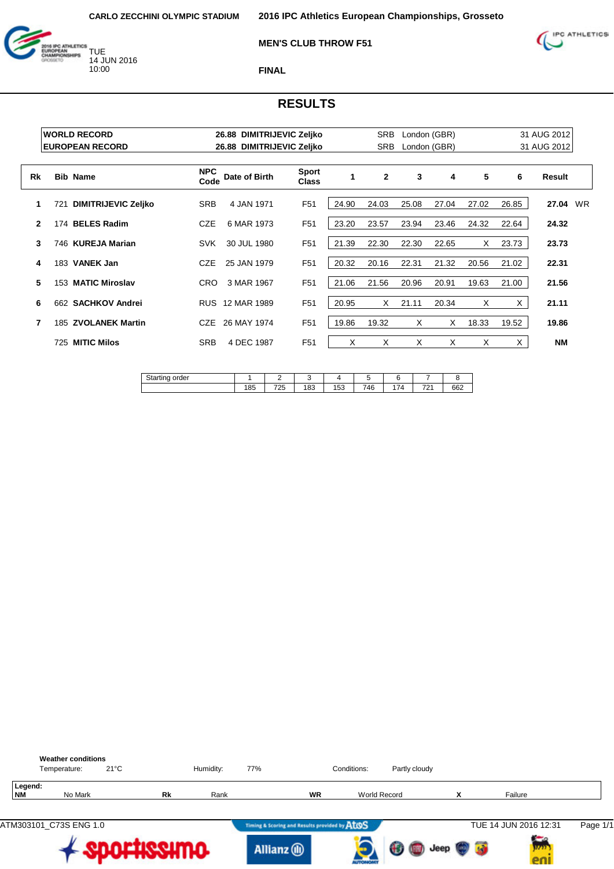

#### **MEN'S CLUB THROW F51**



**FINAL**

|    |     | <b>WORLD RECORD</b>        |                    | 26.88 DIMITRIJEVIC Zeljko |                              |       | <b>SRB</b>   |       | London (GBR) |       |       | 31 AUG 2012 |    |
|----|-----|----------------------------|--------------------|---------------------------|------------------------------|-------|--------------|-------|--------------|-------|-------|-------------|----|
|    |     | <b>EUROPEAN RECORD</b>     |                    | 26.88                     | <b>DIMITRIJEVIC Zeljko</b>   |       | <b>SRB</b>   |       | London (GBR) |       |       | 31 AUG 2012 |    |
| Rk |     | <b>Bib Name</b>            | <b>NPC</b><br>Code | Date of Birth             | <b>Sport</b><br><b>Class</b> | 1     | $\mathbf{2}$ | 3     | 4            | 5     | 6     | Result      |    |
| 1  | 721 | <b>DIMITRIJEVIC Zeljko</b> | <b>SRB</b>         | 4 JAN 1971                | F <sub>51</sub>              | 24.90 | 24.03        | 25.08 | 27.04        | 27.02 | 26.85 | 27.04       | WR |
| 2  |     | 174 BELES Radim            | <b>CZE</b>         | 6 MAR 1973                | F <sub>51</sub>              | 23.20 | 23.57        | 23.94 | 23.46        | 24.32 | 22.64 | 24.32       |    |
| 3  |     | 746 KUREJA Marian          | <b>SVK</b>         | 30 JUL 1980               | F <sub>51</sub>              | 21.39 | 22.30        | 22.30 | 22.65        | X     | 23.73 | 23.73       |    |
| 4  |     | 183 VANEK Jan              | <b>CZE</b>         | 25 JAN 1979               | F <sub>51</sub>              | 20.32 | 20.16        | 22.31 | 21.32        | 20.56 | 21.02 | 22.31       |    |
| 5  |     | 153 MATIC Miroslav         | CRO.               | 3 MAR 1967                | F <sub>51</sub>              | 21.06 | 21.56        | 20.96 | 20.91        | 19.63 | 21.00 | 21.56       |    |
| 6  |     | 662 SACHKOV Andrei         |                    | RUS 12 MAR 1989           | F <sub>51</sub>              | 20.95 | X            | 21.11 | 20.34        | X     | X.    | 21.11       |    |
| 7  | 185 | <b>ZVOLANEK Martin</b>     | CZE                | 26 MAY 1974               | F <sub>51</sub>              | 19.86 | 19.32        | X     | X            | 18.33 | 19.52 | 19.86       |    |
|    | 725 | <b>MITIC Milos</b>         | <b>SRB</b>         | 4 DEC 1987                | F <sub>51</sub>              | X     | X            | X     | X            | X     | X.    | <b>NM</b>   |    |

| $^{\sim}$<br>order<br>.tıno<br>انت ا<br>w |     |           |     |               |     |                |          |     |
|-------------------------------------------|-----|-----------|-----|---------------|-----|----------------|----------|-----|
|                                           | 185 | フウド<br>ںے | 183 | $F^{0}$<br>ხა | 746 | $\overline{a}$ | 704<br>. | 662 |
|                                           |     |           |     |               |     |                |          |     |

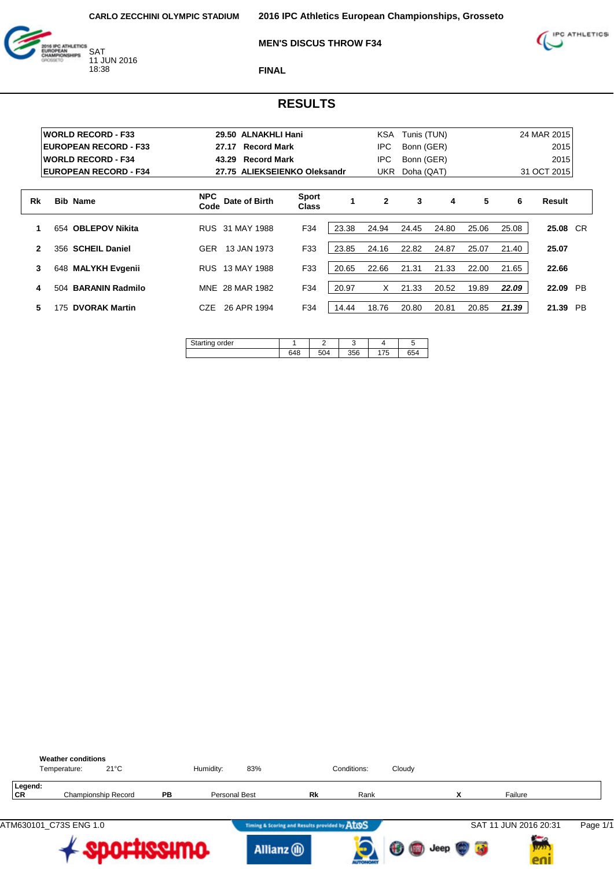

### **MEN'S DISCUS THROW F34**



**FINAL**

| <b>WORLD RECORD - F33</b>     |                    |                                                                                                                    |                                                                 | KSA                          |       |       |                                                       |       |          |                            |
|-------------------------------|--------------------|--------------------------------------------------------------------------------------------------------------------|-----------------------------------------------------------------|------------------------------|-------|-------|-------------------------------------------------------|-------|----------|----------------------------|
| <b>EUROPEAN RECORD - F33</b>  |                    |                                                                                                                    |                                                                 | IPC.                         |       |       |                                                       |       | 2015     |                            |
| <b>WORLD RECORD - F34</b>     |                    |                                                                                                                    |                                                                 | IPC.                         |       |       |                                                       |       | 2015     |                            |
| <b>EUROPEAN RECORD - F34</b>  |                    |                                                                                                                    |                                                                 |                              |       |       |                                                       |       |          |                            |
| <b>Bib Name</b>               | <b>NPC</b><br>Code | <b>Sport</b><br><b>Class</b>                                                                                       |                                                                 | $\mathbf{2}$                 | 3     | 4     | 5                                                     | 6     | Result   |                            |
| 654 OBLEPOV Nikita            |                    | F34                                                                                                                | 23.38                                                           | 24.94                        | 24.45 | 24.80 | 25.06                                                 | 25.08 | 25.08 CR |                            |
| 356 SCHEIL Daniel             | <b>GER</b>         | F33                                                                                                                | 23.85                                                           | 24.16                        | 22.82 | 24.87 | 25.07                                                 | 21.40 | 25.07    |                            |
| 648 MALYKH Evgenii            | <b>RUS</b>         | F33                                                                                                                | 20.65                                                           | 22.66                        | 21.31 | 21.33 | 22.00                                                 | 21.65 | 22.66    |                            |
| <b>BARANIN Radmilo</b><br>504 |                    | F34                                                                                                                | 20.97                                                           | X                            | 21.33 | 20.52 | 19.89                                                 | 22.09 | 22.09    | <b>PB</b>                  |
| <b>DVORAK Martin</b><br>175   | <b>CZE</b>         | F34                                                                                                                | 14.44                                                           | 18.76                        | 20.80 | 20.81 | 20.85                                                 | 21.39 | 21.39    | <b>PB</b>                  |
|                               |                    | 27.17<br>43.29<br>Date of Birth<br>RUS 31 MAY 1988<br>13 JAN 1973<br>13 MAY 1988<br>MNE 28 MAR 1982<br>26 APR 1994 | 29.50 ALNAKHLI Hani<br><b>Record Mark</b><br><b>Record Mark</b> | 27.75 ALIEKSEIENKO Oleksandr |       | UKR   | Tunis (TUN)<br>Bonn (GER)<br>Bonn (GER)<br>Doha (QAT) |       |          | 24 MAR 2015<br>31 OCT 2015 |

| $\sim$<br>order<br>∕artino |     |     |     |            | $\cdot$ |
|----------------------------|-----|-----|-----|------------|---------|
|                            | 648 | 504 | 356 | 17r<br>.75 | 654     |

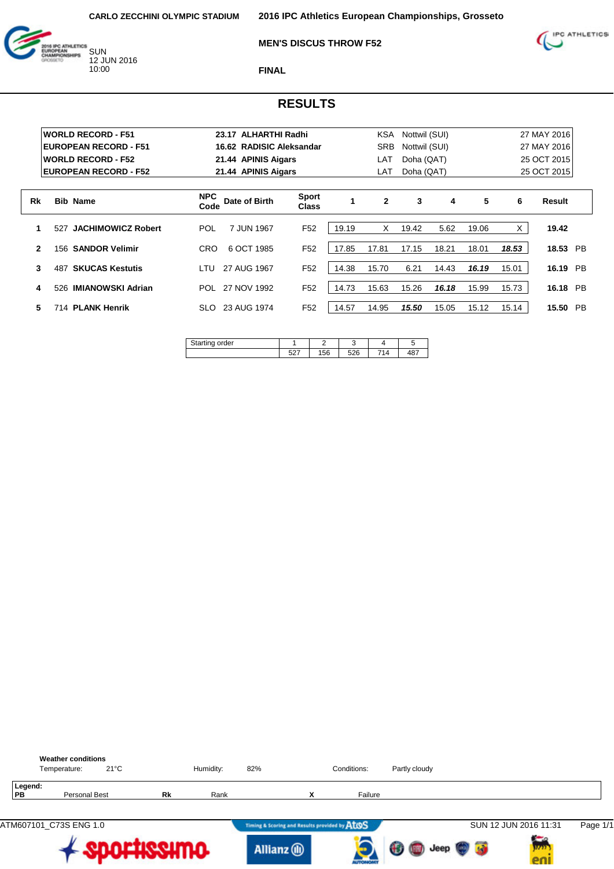



### **MEN'S DISCUS THROW F52**

**FINAL**

|              | <b>WORLD RECORD - F51</b>        | 23.17 ALHARTHI Radhi                |                              |       | <b>KSA</b>   | Nottwil (SUI) |       |       |       | 27 MAY 2016        |
|--------------|----------------------------------|-------------------------------------|------------------------------|-------|--------------|---------------|-------|-------|-------|--------------------|
|              | <b>EUROPEAN RECORD - F51</b>     | 16.62 RADISIC Aleksandar            |                              |       | SRB          | Nottwil (SUI) |       |       |       | 27 MAY 2016        |
|              | <b>WORLD RECORD - F52</b>        | 21.44 APINIS Aigars                 |                              |       | LAT          | Doha (QAT)    |       |       |       | 25 OCT 2015        |
|              | <b>EUROPEAN RECORD - F52</b>     | 21.44 APINIS Aigars                 |                              |       | LAT          | Doha (QAT)    |       |       |       | 25 OCT 2015        |
| Rk           | <b>Bib Name</b>                  | <b>NPC</b><br>Date of Birth<br>Code | <b>Sport</b><br><b>Class</b> |       | $\mathbf{2}$ | 3             | 4     | 5     | 6     | Result             |
| 1            | <b>JACHIMOWICZ Robert</b><br>527 | <b>POL</b><br>7 JUN 1967            | F <sub>52</sub>              | 19.19 | X            | 19.42         | 5.62  | 19.06 | X     | 19.42              |
| $\mathbf{2}$ | <b>SANDOR Velimir</b><br>156     | 6 OCT 1985<br><b>CRO</b>            | F <sub>52</sub>              | 17.85 | 17.81        | 17.15         | 18.21 | 18.01 | 18.53 | 18.53<br>PB        |
| 3            | <b>SKUCAS Kestutis</b><br>487    | 27 AUG 1967<br>I TU                 | F <sub>52</sub>              | 14.38 | 15.70        | 6.21          | 14.43 | 16.19 | 15.01 | 16.19<br><b>PB</b> |
| 4            | <b>IMIANOWSKI Adrian</b><br>526  | 27 NOV 1992<br>POL                  | F <sub>52</sub>              | 14.73 | 15.63        | 15.26         | 16.18 | 15.99 | 15.73 | 16.18<br>PB        |
| 5            | 714 PLANK Henrik                 | 23 AUG 1974<br>SLO.                 | F <sub>52</sub>              | 14.57 | 14.95        | 15.50         | 15.05 | 15.12 | 15.14 | 15.50<br><b>PB</b> |

| rder<br>÷ |             | –           |           |           |
|-----------|-------------|-------------|-----------|-----------|
|           | -^-<br>، ےب | 156<br>טט ו | EOC<br>Zτ | 10"<br>+υ |

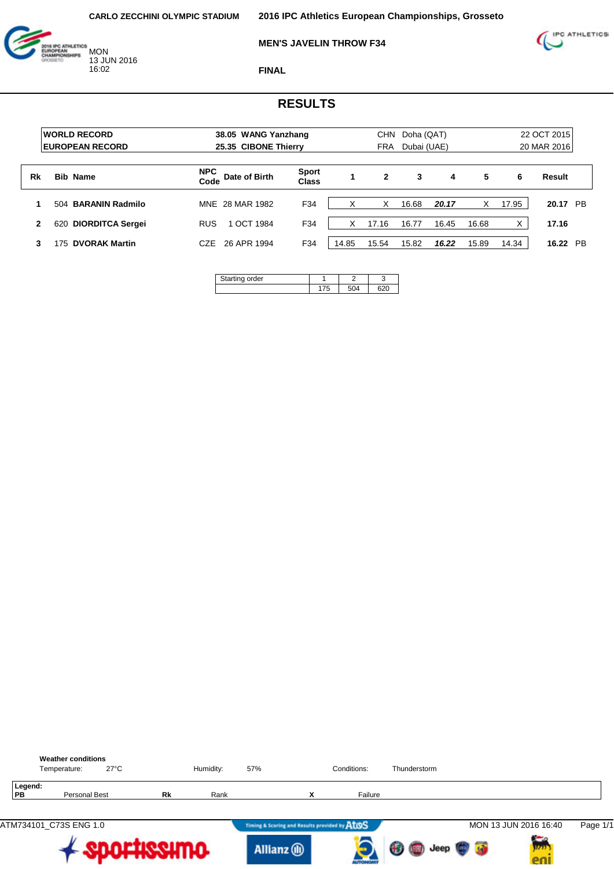16:02





**FINAL**

|    | <b>WORLD RECORD</b><br><b>EUROPEAN RECORD</b> | 38.05 WANG Yanzhang<br>25.35 CIBONE Thierry |                              |       | <b>CHN</b><br><b>FRA</b> | Doha (QAT)<br>Dubai (UAE) |       |       | 22 OCT 2015<br>20 MAR 2016 |                    |  |  |
|----|-----------------------------------------------|---------------------------------------------|------------------------------|-------|--------------------------|---------------------------|-------|-------|----------------------------|--------------------|--|--|
|    |                                               |                                             |                              |       |                          |                           |       |       |                            |                    |  |  |
| Rk | <b>Bib Name</b>                               | <b>NPC</b><br>Date of Birth<br>Code         | <b>Sport</b><br><b>Class</b> |       | $\mathbf{2}$             | 3                         | 4     | 5     | 6                          | Result             |  |  |
|    | 504 BARANIN Radmilo                           | MNE 28 MAR 1982                             | F34                          |       | X                        | 16.68                     | 20.17 | X     | 17.95                      | 20.17 PB           |  |  |
| 2  | <b>DIORDITCA Sergei</b><br>620                | <b>RUS</b><br>1 OCT 1984                    | F34                          | X     | 17.16                    | 16.77                     | 16.45 | 16.68 |                            | 17.16              |  |  |
|    | <b>DVORAK Martin</b><br>75                    | 26 APR 1994<br>CZE                          | F34                          | 14.85 | 15.54                    | 15.82                     | 16.22 | 15.89 | 14.34                      | 16.22<br><b>PB</b> |  |  |

| a order<br>≂ |  | ι. |
|--------------|--|----|
|              |  |    |

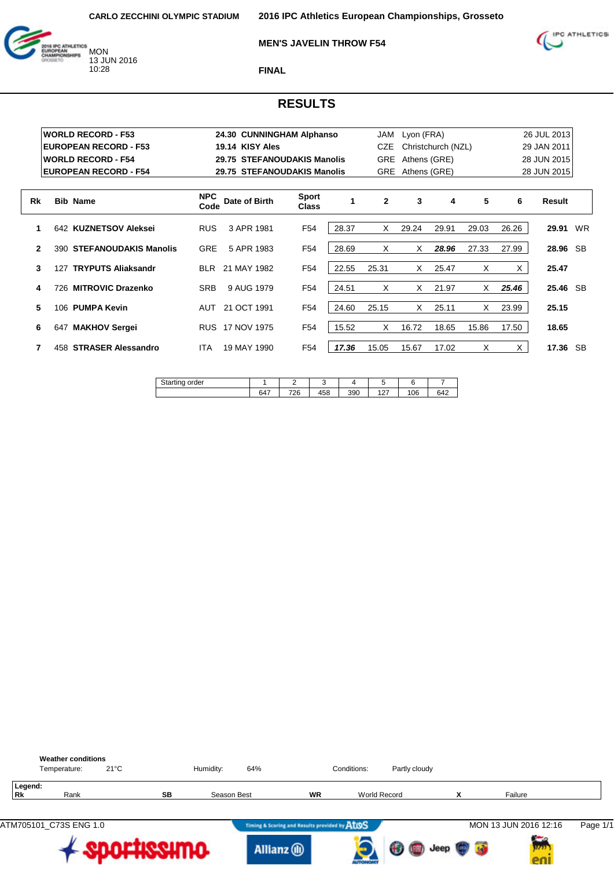

### **MEN'S JAVELIN THROW F54**



**FINAL**

|           |     | <b>WORLD RECORD - F53</b>    |                    | 24.30 CUNNINGHAM Alphanso   |                              |       | JAM          | Lyon (FRA)   |                    |       |       | 26 JUL 2013 |    |
|-----------|-----|------------------------------|--------------------|-----------------------------|------------------------------|-------|--------------|--------------|--------------------|-------|-------|-------------|----|
|           |     | <b>EUROPEAN RECORD - F53</b> |                    | 19.14 KISY Ales             |                              |       | CZE          |              | Christchurch (NZL) |       |       | 29 JAN 2011 |    |
|           |     | <b>WORLD RECORD - F54</b>    |                    | 29.75 STEFANOUDAKIS Manolis |                              |       | <b>GRE</b>   | Athens (GRE) |                    |       |       | 28 JUN 2015 |    |
|           |     | <b>EUROPEAN RECORD - F54</b> |                    | 29.75 STEFANOUDAKIS Manolis |                              |       | <b>GRE</b>   | Athens (GRE) |                    |       |       | 28 JUN 2015 |    |
| <b>Rk</b> |     | <b>Bib Name</b>              | <b>NPC</b><br>Code | Date of Birth               | <b>Sport</b><br><b>Class</b> | 1     | $\mathbf{2}$ | 3            | 4                  | 5     | 6     | Result      |    |
|           |     | 642 KUZNETSOV Aleksei        | <b>RUS</b>         | 3 APR 1981                  | F <sub>54</sub>              | 28.37 | X            | 29.24        | 29.91              | 29.03 | 26.26 | 29.91       | WR |
| 2         |     | 390 STEFANOUDAKIS Manolis    | <b>GRE</b>         | 5 APR 1983                  | F54                          | 28.69 | X            | X            | 28.96              | 27.33 | 27.99 | 28.96 SB    |    |
| 3         |     | 127 TRYPUTS Aliaksandr       | <b>BLR</b>         | 21 MAY 1982                 | F <sub>54</sub>              | 22.55 | 25.31        | X            | 25.47              | X     | X.    | 25.47       |    |
| 4         |     | 726 MITROVIC Drazenko        | <b>SRB</b>         | 9 AUG 1979                  | F54                          | 24.51 | X            | X            | 21.97              | X     | 25.46 | 25.46 SB    |    |
| 5         |     | 106 PUMPA Kevin              | AUT                | 21 OCT 1991                 | F54                          | 24.60 | 25.15        | X            | 25.11              | X     | 23.99 | 25.15       |    |
| 6         | 647 | <b>MAKHOV Sergei</b>         | <b>RUS</b>         | 17 NOV 1975                 | F54                          | 15.52 | X            | 16.72        | 18.65              | 15.86 | 17.50 | 18.65       |    |
|           | 458 | <b>STRASER Alessandro</b>    | <b>ITA</b>         | 19 MAY 1990                 | F54                          | 17.36 | 15.05        | 15.67        | 17.02              | X     | X     | 17.36 SB    |    |

| der<br>.<br>$\sim$ |                 |                               |                 |            |               |          |                          |
|--------------------|-----------------|-------------------------------|-----------------|------------|---------------|----------|--------------------------|
|                    | $\sim$ $-$<br>. | $\overline{\phantom{a}}$<br>∼ | $1 - 0$<br>. ٥٥ | ∩∩י<br>っしい | $\sim$<br>. . | nc<br>vo | $\overline{\phantom{a}}$ |

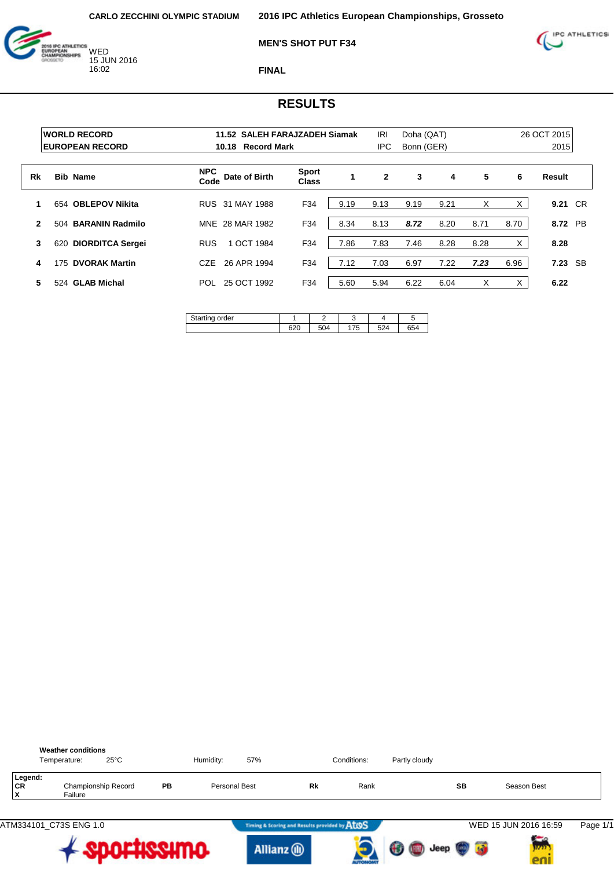



**FINAL**

|              | <b>WORLD RECORD</b><br><b>EUROPEAN RECORD</b> | 11.52 SALEH FARAJZADEH Siamak<br><b>Record Mark</b><br>10.18 |                              | <b>IRI</b><br><b>IPC</b> | Doha (QAT)<br>Bonn (GER) |      |      |      | 26 OCT 2015<br>2015 |         |
|--------------|-----------------------------------------------|--------------------------------------------------------------|------------------------------|--------------------------|--------------------------|------|------|------|---------------------|---------|
| Rk           | <b>Bib Name</b>                               | <b>NPC</b><br>Date of Birth<br>Code                          | <b>Sport</b><br><b>Class</b> |                          | $\overline{2}$           | 3    | 4    | 5    | 6                   | Result  |
| 1            | 654 OBLEPOV Nikita                            | RUS 31 MAY 1988                                              | F34                          | 9.19                     | 9.13                     | 9.19 | 9.21 | X    | X                   | 9.21 CR |
| $\mathbf{2}$ | <b>BARANIN Radmilo</b><br>504                 | MNE 28 MAR 1982                                              | F34                          | 8.34                     | 8.13                     | 8.72 | 8.20 | 8.71 | 8.70                | 8.72 PB |
| 3            | <b>DIORDITCA Sergei</b><br>620                | 1 OCT 1984<br><b>RUS</b>                                     | F34                          | 7.86                     | 7.83                     | 7.46 | 8.28 | 8.28 | X                   | 8.28    |
| 4            | <b>DVORAK Martin</b><br>175                   | 26 APR 1994<br>CZE                                           | F34                          | 7.12                     | 7.03                     | 6.97 | 7.22 | 7.23 | 6.96                | 7.23 SB |
| 5            | 524 GLAB Michal                               | 25 OCT 1992<br>POL                                           | F34                          | 5.60                     | 5.94                     | 6.22 | 6.04 | X    | X                   | 6.22    |

| order<br>$\sim$ |     |     |                                 |            | ٠.        |
|-----------------|-----|-----|---------------------------------|------------|-----------|
|                 | ບ∠ບ | 504 | $\overline{\phantom{a}}$<br>ں ، | <b>501</b> | ~~<br>554 |

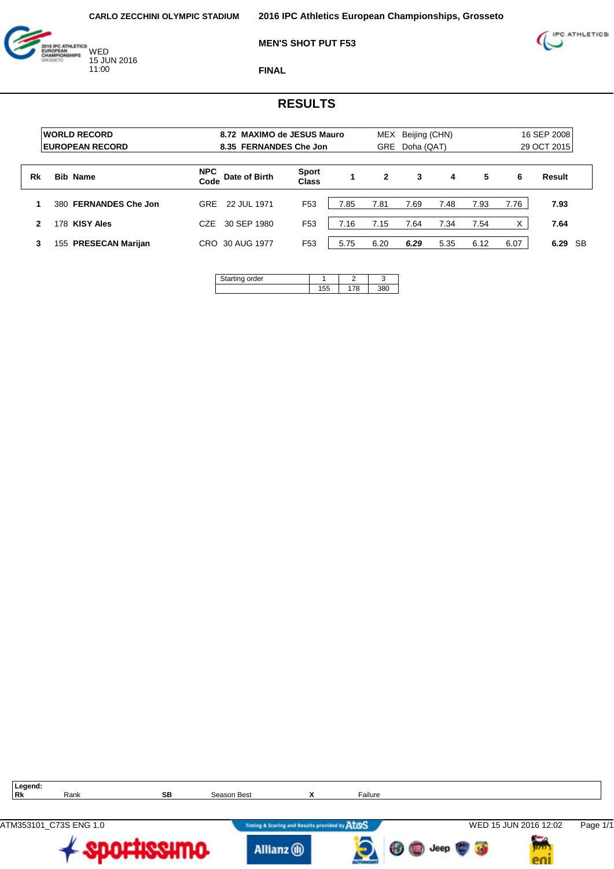

**MEN'S SHOT PUT F53**



**FINAL**

|    | <b>WORLD RECORD</b><br><b>EUROPEAN RECORD</b> |                    | 8.72 MAXIMO de JESUS Mauro<br>8.35 FERNANDES Che Jon |                              |      | MEX<br><b>GRE</b> | Beijing (CHN)<br>Doha (QAT) |      |      |      | 16 SEP 2008<br>29 OCT 2015 |
|----|-----------------------------------------------|--------------------|------------------------------------------------------|------------------------------|------|-------------------|-----------------------------|------|------|------|----------------------------|
| Rk | <b>Bib Name</b>                               | <b>NPC</b><br>Code | Date of Birth                                        | <b>Sport</b><br><b>Class</b> |      | 2                 | 3                           | 4    | 5    | 6    | Result                     |
|    | <b>FERNANDES Che Jon</b><br>380               | <b>GRF</b>         | 22 JUL 1971                                          | F <sub>53</sub>              | 7.85 | 7.81              | 7.69                        | 7.48 | 7.93 | 7.76 | 7.93                       |
| 2  | <b>KISY Ales</b><br>178                       | CZE                | 30 SEP 1980                                          | F <sub>53</sub>              | 7.16 | 7.15              | 7.64                        | 7.34 | 7.54 | X    | 7.64                       |
| 3  | <b>PRESECAN Marijan</b><br>155                | CRO.               | 30 AUG 1977                                          | F <sub>53</sub>              | 5.75 | 6.20              | 6.29                        | 5.35 | 6.12 | 6.07 | 6.29 SB                    |

| ina order<br>tartır |  |  |
|---------------------|--|--|
|                     |  |  |

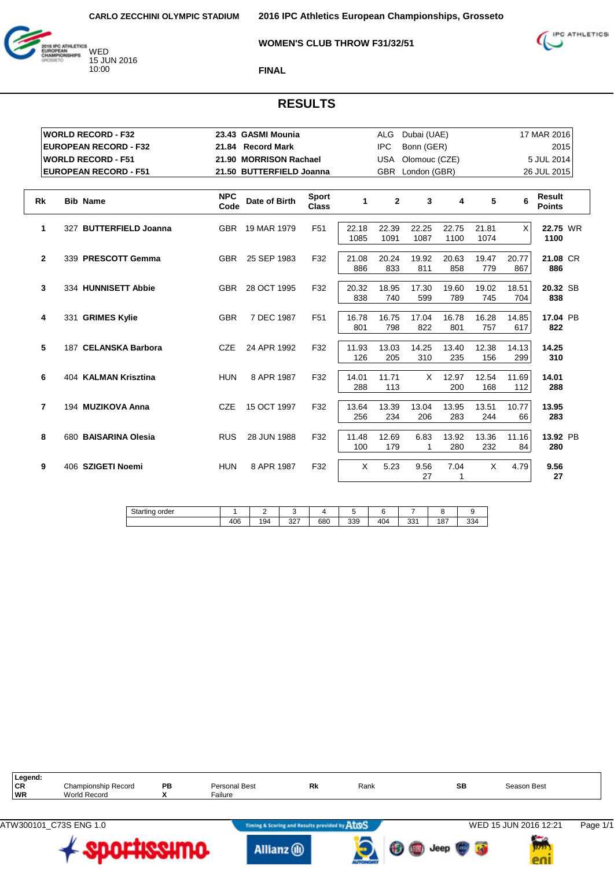



#### **WOMEN'S CLUB THROW F31/32/51**

**FINAL**

| <b>WORLD RECORD - F32</b>          |                    | 23.43 GASMI Mounia       |                              |               | <b>ALG</b>     | Dubai (UAE)   |               |               |              | 17 MAR 2016                    |
|------------------------------------|--------------------|--------------------------|------------------------------|---------------|----------------|---------------|---------------|---------------|--------------|--------------------------------|
| <b>EUROPEAN RECORD - F32</b>       |                    | 21.84 Record Mark        |                              |               | <b>IPC</b>     | Bonn (GER)    |               |               |              | 2015                           |
| <b>WORLD RECORD - F51</b>          |                    | 21.90 MORRISON Rachael   |                              |               | USA            | Olomouc (CZE) |               |               |              | 5 JUL 2014                     |
| <b>EUROPEAN RECORD - F51</b>       |                    | 21.50 BUTTERFIELD Joanna |                              |               | <b>GBR</b>     | London (GBR)  |               |               |              | 26 JUL 2015                    |
|                                    |                    |                          |                              |               |                |               |               |               |              |                                |
| <b>Rk</b><br><b>Bib Name</b>       | <b>NPC</b><br>Code | Date of Birth            | <b>Sport</b><br><b>Class</b> | $\mathbf{1}$  | $\overline{2}$ | 3             | 4             | 5             | 6            | <b>Result</b><br><b>Points</b> |
| 327 BUTTERFIELD Joanna<br>1        |                    | GBR 19 MAR 1979          | F <sub>51</sub>              | 22.18<br>1085 | 22.39<br>1091  | 22.25<br>1087 | 22.75<br>1100 | 21.81<br>1074 | X            | 22.75 WR<br>1100               |
| $\mathbf{2}$<br>339 PRESCOTT Gemma | <b>GBR</b>         | 25 SEP 1983              | F32                          | 21.08<br>886  | 20.24<br>833   | 19.92<br>811  | 20.63<br>858  | 19.47<br>779  | 20.77<br>867 | 21.08 CR<br>886                |
| 3<br>334 HUNNISETT Abbie           | <b>GBR</b>         | 28 OCT 1995              | F32                          | 20.32<br>838  | 18.95<br>740   | 17.30<br>599  | 19.60<br>789  | 19.02<br>745  | 18.51<br>704 | 20.32 SB<br>838                |
| 4<br>331 GRIMES Kylie              | <b>GBR</b>         | 7 DEC 1987               | F <sub>51</sub>              | 16.78<br>801  | 16.75<br>798   | 17.04<br>822  | 16.78<br>801  | 16.28<br>757  | 14.85<br>617 | 17.04 PB<br>822                |
| 5<br>187 CELANSKA Barbora          | CZE                | 24 APR 1992              | F32                          | 11.93<br>126  | 13.03<br>205   | 14.25<br>310  | 13.40<br>235  | 12.38<br>156  | 14.13<br>299 | 14.25<br>310                   |
| 6<br>404 KALMAN Krisztina          | <b>HUN</b>         | 8 APR 1987               | F32                          | 14.01<br>288  | 11.71<br>113   | X             | 12.97<br>200  | 12.54<br>168  | 11.69<br>112 | 14.01<br>288                   |
| 7<br>194 MUZIKOVA Anna             | <b>CZE</b>         | 15 OCT 1997              | F32                          | 13.64<br>256  | 13.39<br>234   | 13.04<br>206  | 13.95<br>283  | 13.51<br>244  | 10.77<br>66  | 13.95<br>283                   |
| 8<br>680 BAISARINA Olesia          | <b>RUS</b>         | 28 JUN 1988              | F32                          | 11.48<br>100  | 12.69<br>179   | 6.83<br>1     | 13.92<br>280  | 13.36<br>232  | 11.16<br>84  | 13.92 PB<br>280                |
| 9<br>406 SZIGETI Noemi             | <b>HUN</b>         | 8 APR 1987               | F32                          | X             | 5.23           | 9.56<br>27    | 7.04<br>1     | X             | 4.79         | 9.56<br>27                     |

| Starting<br>order |     |     |                        |     |     |     |                  |     |     |
|-------------------|-----|-----|------------------------|-----|-----|-----|------------------|-----|-----|
|                   | 406 | 194 | 0 <sub>0</sub><br>ا ےت | 680 | 339 | 404 | $\Omega$<br>ا دد | 187 | 334 |

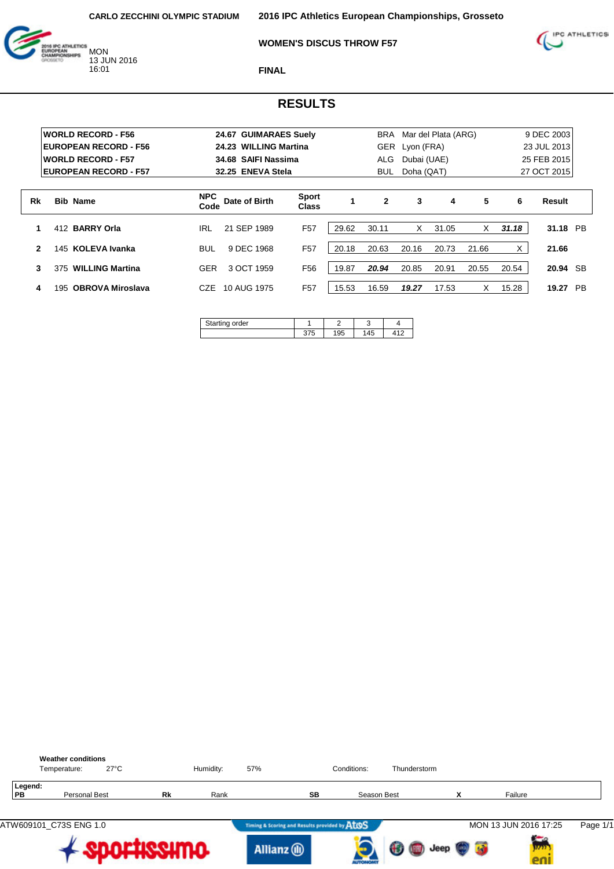



### **WOMEN'S DISCUS THROW F57**

**FINAL**

|              |     | <b>WORLD RECORD - F56</b>    |                    | 24.67 GUIMARAES Suely |                              |       | BRA          |             | Mar del Plata (ARG) |       |       | 9 DEC 2003         |
|--------------|-----|------------------------------|--------------------|-----------------------|------------------------------|-------|--------------|-------------|---------------------|-------|-------|--------------------|
|              |     | <b>EUROPEAN RECORD - F56</b> |                    | 24.23 WILLING Martina |                              |       | GER          | Lyon (FRA)  |                     |       |       | 23 JUL 2013        |
|              |     | <b>WORLD RECORD - F57</b>    |                    | 34.68 SAIFI Nassima   |                              |       | ALG          | Dubai (UAE) |                     |       |       | 25 FEB 2015        |
|              |     | <b>EUROPEAN RECORD - F57</b> |                    | 32.25 ENEVA Stela     |                              |       | <b>BUL</b>   | Doha (QAT)  |                     |       |       | 27 OCT 2015        |
| Rk           |     | <b>Bib Name</b>              | <b>NPC</b><br>Code | Date of Birth         | <b>Sport</b><br><b>Class</b> | 1     | $\mathbf{2}$ | 3           | 4                   | 5     | 6     | Result             |
| 1            |     | 412 BARRY Orla               | <b>IRL</b>         | 21 SEP 1989           | F <sub>57</sub>              | 29.62 | 30.11        | X           | 31.05               | X     | 31.18 | 31.18 PB           |
| $\mathbf{2}$ | 145 | <b>KOLEVA Ivanka</b>         | <b>BUL</b>         | 9 DEC 1968            | F <sub>57</sub>              | 20.18 | 20.63        | 20.16       | 20.73               | 21.66 | X     | 21.66              |
| 3            | 375 | <b>WILLING Martina</b>       | <b>GER</b>         | 3 OCT 1959            | F <sub>56</sub>              | 19.87 | 20.94        | 20.85       | 20.91               | 20.55 | 20.54 | 20.94 SB           |
| 4            | 195 | <b>OBROVA Miroslava</b>      | CZE                | 10 AUG 1975           | F <sub>57</sub>              | 15.53 | 16.59        | 19.27       | 17.53               | X     | 15.28 | <b>PB</b><br>19.27 |
|              |     |                              | $\sim$ $\sim$      |                       |                              |       |              |             |                     |       |       |                    |

| Starting order |     |  |
|----------------|-----|--|
|                | 195 |  |

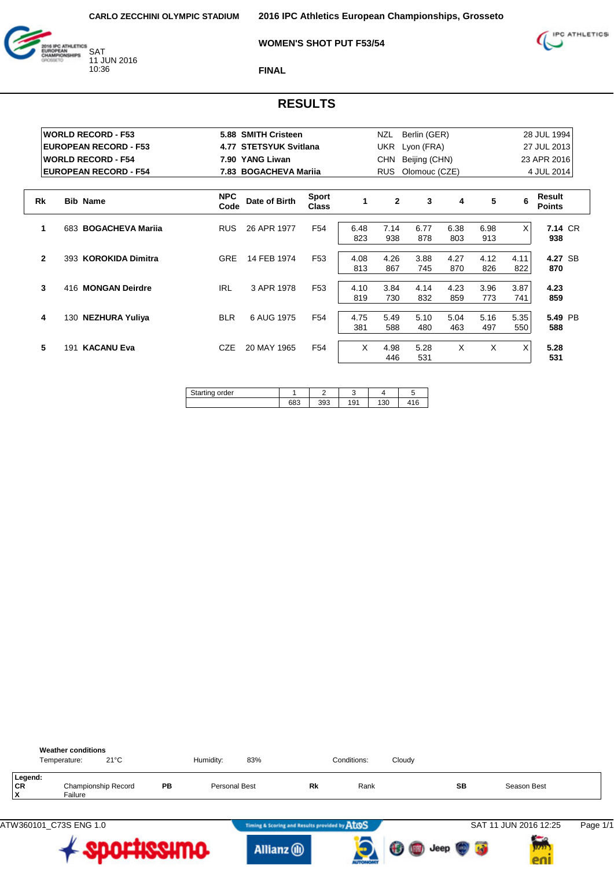



#### **WOMEN'S SHOT PUT F53/54**

**FINAL**

|              | <b>WORLD RECORD - F53</b>    |                    | 5.88 SMITH Cristeen      |                              |             | NZL            | Berlin (GER)  |             |             |          | 28 JUL 1994             |
|--------------|------------------------------|--------------------|--------------------------|------------------------------|-------------|----------------|---------------|-------------|-------------|----------|-------------------------|
|              | <b>EUROPEAN RECORD - F53</b> | 4.77               | <b>STETSYUK Svitlana</b> |                              |             | <b>UKR</b>     | Lyon (FRA)    |             |             |          | 27 JUL 2013             |
|              | <b>WORLD RECORD - F54</b>    |                    | 7.90 YANG Liwan          |                              |             | <b>CHN</b>     | Beijing (CHN) |             |             |          | 23 APR 2016             |
|              | <b>EUROPEAN RECORD - F54</b> |                    | 7.83 BOGACHEVA Marija    |                              |             | <b>RUS</b>     | Olomouc (CZE) |             |             |          | 4 JUL 2014              |
|              |                              |                    |                          |                              |             |                |               |             |             |          |                         |
| Rk           | <b>Bib Name</b>              | <b>NPC</b><br>Code | Date of Birth            | <b>Sport</b><br><b>Class</b> | 1           | $\overline{2}$ | 3             | 4           | 5           | 6        | Result<br><b>Points</b> |
| 1            | 683 BOGACHEVA Mariia         | <b>RUS</b>         | 26 APR 1977              | F54                          | 6.48<br>823 | 7.14<br>938    | 6.77<br>878   | 6.38<br>803 | 6.98<br>913 | $\times$ | 7.14 CR<br>938          |
|              |                              |                    |                          |                              |             |                |               |             |             |          |                         |
| $\mathbf{2}$ | 393 KOROKIDA Dimitra         | <b>GRE</b>         | 14 FEB 1974              | F <sub>53</sub>              | 4.08        | 4.26           | 3.88          | 4.27        | 4.12        | 4.11     | 4.27 SB                 |
|              |                              |                    |                          |                              | 813         | 867            | 745           | 870         | 826         | 822      | 870                     |
| 3            | 416 MONGAN Deirdre           | <b>IRL</b>         | 3 APR 1978               | F <sub>53</sub>              | 4.10        | 3.84           | 4.14          | 4.23        | 3.96        | 3.87     | 4.23                    |
|              |                              |                    |                          |                              | 819         | 730            | 832           | 859         | 773         | 741      | 859                     |
| 4            | 130 NEZHURA Yuliya           | <b>BLR</b>         | 6 AUG 1975               | F <sub>54</sub>              | 4.75        | 5.49           | 5.10          | 5.04        | 5.16        | 5.35     | 5.49 PB                 |
|              |                              |                    |                          |                              | 381         | 588            | 480           | 463         | 497         | 550      | 588                     |
| 5            | <b>KACANU Eva</b><br>191     | <b>CZE</b>         | 20 MAY 1965              | F <sub>54</sub>              | X           | 4.98<br>446    | 5.28<br>531   | X           | X           | X        | 5.28<br>531             |

| order |            |     | ι.  |                       |  |
|-------|------------|-----|-----|-----------------------|--|
|       | coc<br>ხბა | nnc | 191 | $\overline{a}$<br>טטו |  |